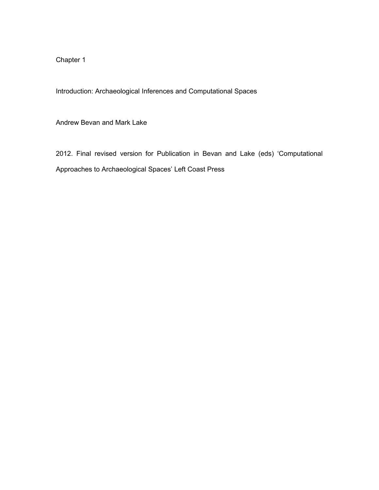Chapter 1

Introduction: Archaeological Inferences and Computational Spaces

Andrew Bevan and Mark Lake

2012. Final revised version for Publication in Bevan and Lake (eds) 'Computational Approaches to Archaeological Spaces' Left Coast Press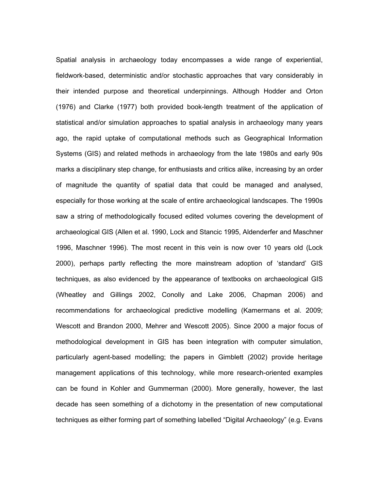Spatial analysis in archaeology today encompasses a wide range of experiential, fieldwork-based, deterministic and/or stochastic approaches that vary considerably in their intended purpose and theoretical underpinnings. Although Hodder and Orton (1976) and Clarke (1977) both provided book-length treatment of the application of statistical and/or simulation approaches to spatial analysis in archaeology many years ago, the rapid uptake of computational methods such as Geographical Information Systems (GIS) and related methods in archaeology from the late 1980s and early 90s marks a disciplinary step change, for enthusiasts and critics alike, increasing by an order of magnitude the quantity of spatial data that could be managed and analysed, especially for those working at the scale of entire archaeological landscapes. The 1990s saw a string of methodologically focused edited volumes covering the development of archaeological GIS (Allen et al. 1990, Lock and Stancic 1995, Aldenderfer and Maschner 1996, Maschner 1996). The most recent in this vein is now over 10 years old (Lock 2000), perhaps partly reflecting the more mainstream adoption of 'standard' GIS techniques, as also evidenced by the appearance of textbooks on archaeological GIS (Wheatley and Gillings 2002, Conolly and Lake 2006, Chapman 2006) and recommendations for archaeological predictive modelling (Kamermans et al. 2009; Wescott and Brandon 2000, Mehrer and Wescott 2005). Since 2000 a major focus of methodological development in GIS has been integration with computer simulation, particularly agent-based modelling; the papers in Gimblett (2002) provide heritage management applications of this technology, while more research-oriented examples can be found in Kohler and Gummerman (2000). More generally, however, the last decade has seen something of a dichotomy in the presentation of new computational techniques as either forming part of something labelled "Digital Archaeology" (e.g. Evans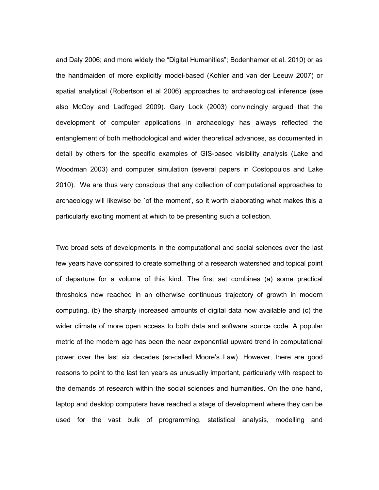and Daly 2006; and more widely the "Digital Humanities"; Bodenhamer et al. 2010) or as the handmaiden of more explicitly model-based (Kohler and van der Leeuw 2007) or spatial analytical (Robertson et al 2006) approaches to archaeological inference (see also McCoy and Ladfoged 2009). Gary Lock (2003) convincingly argued that the development of computer applications in archaeology has always reflected the entanglement of both methodological and wider theoretical advances, as documented in detail by others for the specific examples of GIS-based visibility analysis (Lake and Woodman 2003) and computer simulation (several papers in Costopoulos and Lake 2010). We are thus very conscious that any collection of computational approaches to archaeology will likewise be `of the moment', so it worth elaborating what makes this a particularly exciting moment at which to be presenting such a collection.

Two broad sets of developments in the computational and social sciences over the last few years have conspired to create something of a research watershed and topical point of departure for a volume of this kind. The first set combines (a) some practical thresholds now reached in an otherwise continuous trajectory of growth in modern computing, (b) the sharply increased amounts of digital data now available and (c) the wider climate of more open access to both data and software source code. A popular metric of the modern age has been the near exponential upward trend in computational power over the last six decades (so-called Moore's Law). However, there are good reasons to point to the last ten years as unusually important, particularly with respect to the demands of research within the social sciences and humanities. On the one hand, laptop and desktop computers have reached a stage of development where they can be used for the vast bulk of programming, statistical analysis, modelling and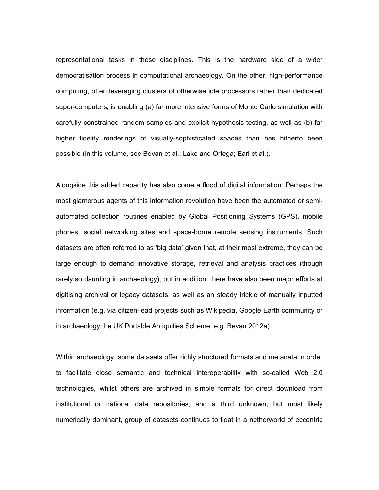representational tasks in these disciplines. This is the hardware side of a wider democratisation process in computational archaeology. On the other, high-performance computing, often leveraging clusters of otherwise idle processors rather than dedicated super-computers, is enabling (a) far more intensive forms of Monte Carlo simulation with carefully constrained random samples and explicit hypothesis-testing, as well as (b) far higher fidelity renderings of visually-sophisticated spaces than has hitherto been possible (in this volume, see Bevan et al.; Lake and Ortega; Earl et al.).

Alongside this added capacity has also come a flood of digital information. Perhaps the most glamorous agents of this information revolution have been the automated or semiautomated collection routines enabled by Global Positioning Systems (GPS), mobile phones, social networking sites and space-borne remote sensing instruments. Such datasets are often referred to as 'big data' given that, at their most extreme, they can be large enough to demand innovative storage, retrieval and analysis practices (though rarely so daunting in archaeology), but in addition, there have also been major efforts at digitising archival or legacy datasets, as well as an steady trickle of manually inputted information (e.g. via citizen-lead projects such as Wikipedia, Google Earth community or in archaeology the UK Portable Antiquities Scheme: e.g. Bevan 2012a).

Within archaeology, some datasets offer richly structured formats and metadata in order to facilitate close semantic and technical interoperability with so-called Web 2.0 technologies, whilst others are archived in simple formats for direct download from institutional or national data repositories, and a third unknown, but most likely numerically dominant, group of datasets continues to float in a netherworld of eccentric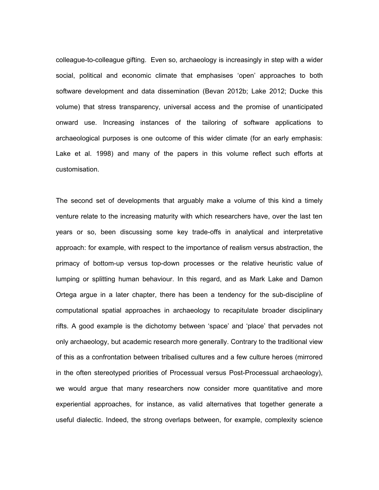colleague-to-colleague gifting. Even so, archaeology is increasingly in step with a wider social, political and economic climate that emphasises 'open' approaches to both software development and data dissemination (Bevan 2012b; Lake 2012; Ducke this volume) that stress transparency, universal access and the promise of unanticipated onward use. Increasing instances of the tailoring of software applications to archaeological purposes is one outcome of this wider climate (for an early emphasis: Lake et al. 1998) and many of the papers in this volume reflect such efforts at customisation.

The second set of developments that arguably make a volume of this kind a timely venture relate to the increasing maturity with which researchers have, over the last ten years or so, been discussing some key trade-offs in analytical and interpretative approach: for example, with respect to the importance of realism versus abstraction, the primacy of bottom-up versus top-down processes or the relative heuristic value of lumping or splitting human behaviour. In this regard, and as Mark Lake and Damon Ortega argue in a later chapter, there has been a tendency for the sub-discipline of computational spatial approaches in archaeology to recapitulate broader disciplinary rifts. A good example is the dichotomy between 'space' and 'place' that pervades not only archaeology, but academic research more generally. Contrary to the traditional view of this as a confrontation between tribalised cultures and a few culture heroes (mirrored in the often stereotyped priorities of Processual versus Post-Processual archaeology), we would argue that many researchers now consider more quantitative and more experiential approaches, for instance, as valid alternatives that together generate a useful dialectic. Indeed, the strong overlaps between, for example, complexity science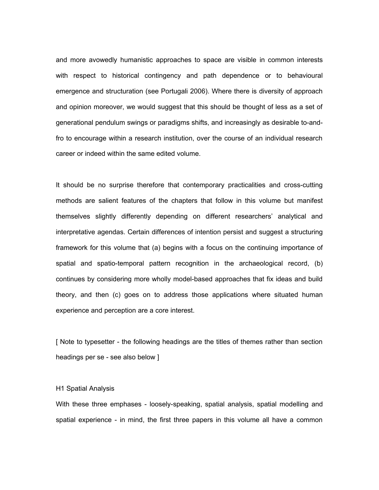and more avowedly humanistic approaches to space are visible in common interests with respect to historical contingency and path dependence or to behavioural emergence and structuration (see Portugali 2006). Where there is diversity of approach and opinion moreover, we would suggest that this should be thought of less as a set of generational pendulum swings or paradigms shifts, and increasingly as desirable to-andfro to encourage within a research institution, over the course of an individual research career or indeed within the same edited volume.

It should be no surprise therefore that contemporary practicalities and cross-cutting methods are salient features of the chapters that follow in this volume but manifest themselves slightly differently depending on different researchers' analytical and interpretative agendas. Certain differences of intention persist and suggest a structuring framework for this volume that (a) begins with a focus on the continuing importance of spatial and spatio-temporal pattern recognition in the archaeological record, (b) continues by considering more wholly model-based approaches that fix ideas and build theory, and then (c) goes on to address those applications where situated human experience and perception are a core interest.

[ Note to typesetter - the following headings are the titles of themes rather than section headings per se - see also below ]

## H1 Spatial Analysis

With these three emphases - loosely-speaking, spatial analysis, spatial modelling and spatial experience - in mind, the first three papers in this volume all have a common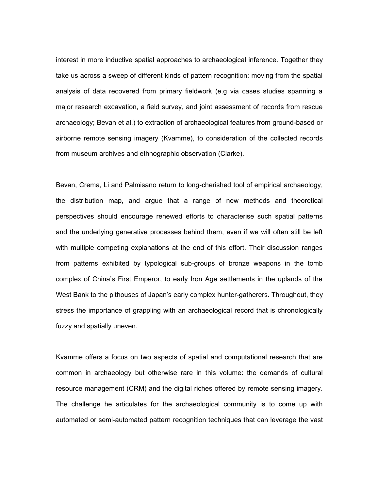interest in more inductive spatial approaches to archaeological inference. Together they take us across a sweep of different kinds of pattern recognition: moving from the spatial analysis of data recovered from primary fieldwork (e.g via cases studies spanning a major research excavation, a field survey, and joint assessment of records from rescue archaeology; Bevan et al.) to extraction of archaeological features from ground-based or airborne remote sensing imagery (Kvamme), to consideration of the collected records from museum archives and ethnographic observation (Clarke).

Bevan, Crema, Li and Palmisano return to long-cherished tool of empirical archaeology, the distribution map, and argue that a range of new methods and theoretical perspectives should encourage renewed efforts to characterise such spatial patterns and the underlying generative processes behind them, even if we will often still be left with multiple competing explanations at the end of this effort. Their discussion ranges from patterns exhibited by typological sub-groups of bronze weapons in the tomb complex of China's First Emperor, to early Iron Age settlements in the uplands of the West Bank to the pithouses of Japan's early complex hunter-gatherers. Throughout, they stress the importance of grappling with an archaeological record that is chronologically fuzzy and spatially uneven.

Kvamme offers a focus on two aspects of spatial and computational research that are common in archaeology but otherwise rare in this volume: the demands of cultural resource management (CRM) and the digital riches offered by remote sensing imagery. The challenge he articulates for the archaeological community is to come up with automated or semi-automated pattern recognition techniques that can leverage the vast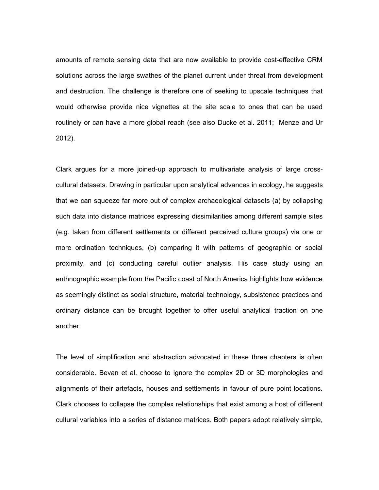amounts of remote sensing data that are now available to provide cost-effective CRM solutions across the large swathes of the planet current under threat from development and destruction. The challenge is therefore one of seeking to upscale techniques that would otherwise provide nice vignettes at the site scale to ones that can be used routinely or can have a more global reach (see also Ducke et al. 2011; Menze and Ur 2012).

Clark argues for a more joined-up approach to multivariate analysis of large crosscultural datasets. Drawing in particular upon analytical advances in ecology, he suggests that we can squeeze far more out of complex archaeological datasets (a) by collapsing such data into distance matrices expressing dissimilarities among different sample sites (e.g. taken from different settlements or different perceived culture groups) via one or more ordination techniques, (b) comparing it with patterns of geographic or social proximity, and (c) conducting careful outlier analysis. His case study using an enthnographic example from the Pacific coast of North America highlights how evidence as seemingly distinct as social structure, material technology, subsistence practices and ordinary distance can be brought together to offer useful analytical traction on one another.

The level of simplification and abstraction advocated in these three chapters is often considerable. Bevan et al. choose to ignore the complex 2D or 3D morphologies and alignments of their artefacts, houses and settlements in favour of pure point locations. Clark chooses to collapse the complex relationships that exist among a host of different cultural variables into a series of distance matrices. Both papers adopt relatively simple,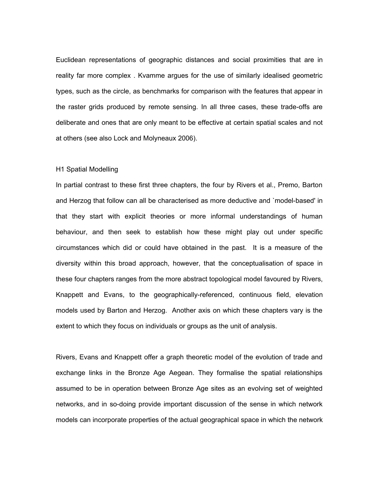Euclidean representations of geographic distances and social proximities that are in reality far more complex . Kvamme argues for the use of similarly idealised geometric types, such as the circle, as benchmarks for comparison with the features that appear in the raster grids produced by remote sensing. In all three cases, these trade-offs are deliberate and ones that are only meant to be effective at certain spatial scales and not at others (see also Lock and Molyneaux 2006).

## H1 Spatial Modelling

In partial contrast to these first three chapters, the four by Rivers et al., Premo, Barton and Herzog that follow can all be characterised as more deductive and `model-based' in that they start with explicit theories or more informal understandings of human behaviour, and then seek to establish how these might play out under specific circumstances which did or could have obtained in the past. It is a measure of the diversity within this broad approach, however, that the conceptualisation of space in these four chapters ranges from the more abstract topological model favoured by Rivers, Knappett and Evans, to the geographically-referenced, continuous field, elevation models used by Barton and Herzog. Another axis on which these chapters vary is the extent to which they focus on individuals or groups as the unit of analysis.

Rivers, Evans and Knappett offer a graph theoretic model of the evolution of trade and exchange links in the Bronze Age Aegean. They formalise the spatial relationships assumed to be in operation between Bronze Age sites as an evolving set of weighted networks, and in so-doing provide important discussion of the sense in which network models can incorporate properties of the actual geographical space in which the network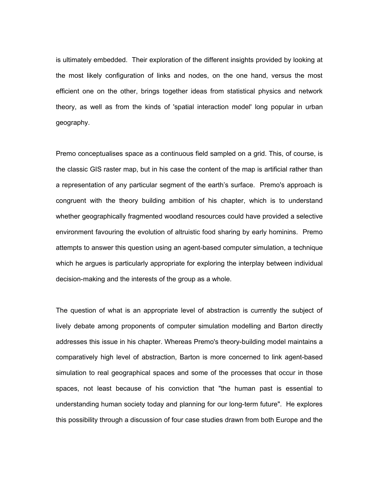is ultimately embedded. Their exploration of the different insights provided by looking at the most likely configuration of links and nodes, on the one hand, versus the most efficient one on the other, brings together ideas from statistical physics and network theory, as well as from the kinds of 'spatial interaction model' long popular in urban geography.

Premo conceptualises space as a continuous field sampled on a grid. This, of course, is the classic GIS raster map, but in his case the content of the map is artificial rather than a representation of any particular segment of the earth's surface. Premo's approach is congruent with the theory building ambition of his chapter, which is to understand whether geographically fragmented woodland resources could have provided a selective environment favouring the evolution of altruistic food sharing by early hominins. Premo attempts to answer this question using an agent-based computer simulation, a technique which he argues is particularly appropriate for exploring the interplay between individual decision-making and the interests of the group as a whole.

The question of what is an appropriate level of abstraction is currently the subject of lively debate among proponents of computer simulation modelling and Barton directly addresses this issue in his chapter. Whereas Premo's theory-building model maintains a comparatively high level of abstraction, Barton is more concerned to link agent-based simulation to real geographical spaces and some of the processes that occur in those spaces, not least because of his conviction that "the human past is essential to understanding human society today and planning for our long-term future". He explores this possibility through a discussion of four case studies drawn from both Europe and the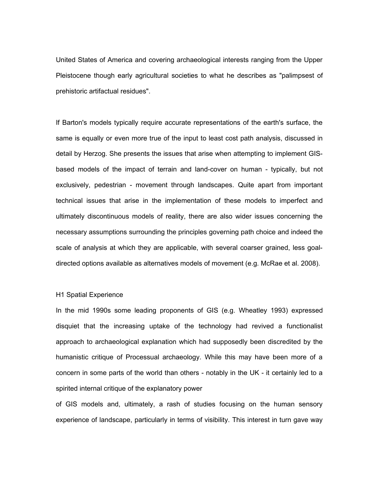United States of America and covering archaeological interests ranging from the Upper Pleistocene though early agricultural societies to what he describes as "palimpsest of prehistoric artifactual residues".

If Barton's models typically require accurate representations of the earth's surface, the same is equally or even more true of the input to least cost path analysis, discussed in detail by Herzog. She presents the issues that arise when attempting to implement GISbased models of the impact of terrain and land-cover on human - typically, but not exclusively, pedestrian - movement through landscapes. Quite apart from important technical issues that arise in the implementation of these models to imperfect and ultimately discontinuous models of reality, there are also wider issues concerning the necessary assumptions surrounding the principles governing path choice and indeed the scale of analysis at which they are applicable, with several coarser grained, less goaldirected options available as alternatives models of movement (e.g. McRae et al. 2008).

## H1 Spatial Experience

In the mid 1990s some leading proponents of GIS (e.g. Wheatley 1993) expressed disquiet that the increasing uptake of the technology had revived a functionalist approach to archaeological explanation which had supposedly been discredited by the humanistic critique of Processual archaeology. While this may have been more of a concern in some parts of the world than others - notably in the UK - it certainly led to a spirited internal critique of the explanatory power

of GIS models and, ultimately, a rash of studies focusing on the human sensory experience of landscape, particularly in terms of visibility. This interest in turn gave way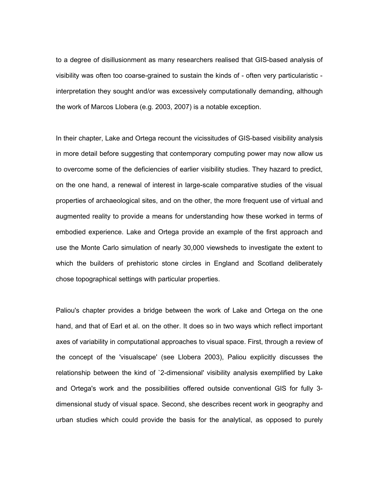to a degree of disillusionment as many researchers realised that GIS-based analysis of visibility was often too coarse-grained to sustain the kinds of - often very particularistic interpretation they sought and/or was excessively computationally demanding, although the work of Marcos Llobera (e.g. 2003, 2007) is a notable exception.

In their chapter, Lake and Ortega recount the vicissitudes of GIS-based visibility analysis in more detail before suggesting that contemporary computing power may now allow us to overcome some of the deficiencies of earlier visibility studies. They hazard to predict, on the one hand, a renewal of interest in large-scale comparative studies of the visual properties of archaeological sites, and on the other, the more frequent use of virtual and augmented reality to provide a means for understanding how these worked in terms of embodied experience. Lake and Ortega provide an example of the first approach and use the Monte Carlo simulation of nearly 30,000 viewsheds to investigate the extent to which the builders of prehistoric stone circles in England and Scotland deliberately chose topographical settings with particular properties.

Paliou's chapter provides a bridge between the work of Lake and Ortega on the one hand, and that of Earl et al. on the other. It does so in two ways which reflect important axes of variability in computational approaches to visual space. First, through a review of the concept of the 'visualscape' (see Llobera 2003), Paliou explicitly discusses the relationship between the kind of `2-dimensional' visibility analysis exemplified by Lake and Ortega's work and the possibilities offered outside conventional GIS for fully 3 dimensional study of visual space. Second, she describes recent work in geography and urban studies which could provide the basis for the analytical, as opposed to purely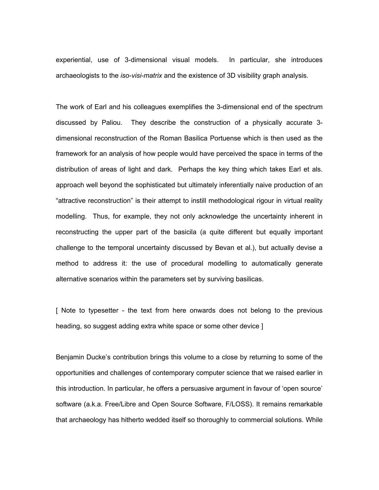experiential, use of 3-dimensional visual models. In particular, she introduces archaeologists to the *iso-visi-matrix* and the existence of 3D visibility graph analysis.

The work of Earl and his colleagues exemplifies the 3-dimensional end of the spectrum discussed by Paliou. They describe the construction of a physically accurate 3 dimensional reconstruction of the Roman Basilica Portuense which is then used as the framework for an analysis of how people would have perceived the space in terms of the distribution of areas of light and dark. Perhaps the key thing which takes Earl et als. approach well beyond the sophisticated but ultimately inferentially naive production of an "attractive reconstruction" is their attempt to instill methodological rigour in virtual reality modelling. Thus, for example, they not only acknowledge the uncertainty inherent in reconstructing the upper part of the basicila (a quite different but equally important challenge to the temporal uncertainty discussed by Bevan et al.), but actually devise a method to address it: the use of procedural modelling to automatically generate alternative scenarios within the parameters set by surviving basilicas.

[ Note to typesetter - the text from here onwards does not belong to the previous heading, so suggest adding extra white space or some other device ]

Benjamin Ducke's contribution brings this volume to a close by returning to some of the opportunities and challenges of contemporary computer science that we raised earlier in this introduction. In particular, he offers a persuasive argument in favour of 'open source' software (a.k.a. Free/Libre and Open Source Software, F/LOSS). It remains remarkable that archaeology has hitherto wedded itself so thoroughly to commercial solutions. While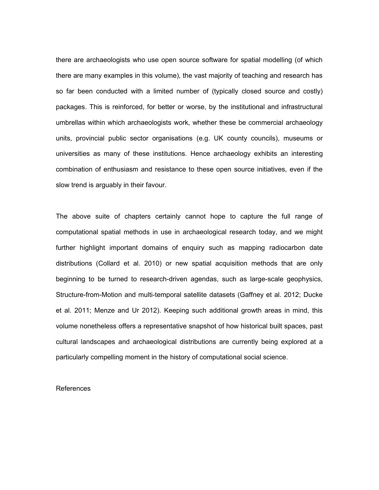there are archaeologists who use open source software for spatial modelling (of which there are many examples in this volume), the vast majority of teaching and research has so far been conducted with a limited number of (typically closed source and costly) packages. This is reinforced, for better or worse, by the institutional and infrastructural umbrellas within which archaeologists work, whether these be commercial archaeology units, provincial public sector organisations (e.g. UK county councils), museums or universities as many of these institutions. Hence archaeology exhibits an interesting combination of enthusiasm and resistance to these open source initiatives, even if the slow trend is arguably in their favour.

The above suite of chapters certainly cannot hope to capture the full range of computational spatial methods in use in archaeological research today, and we might further highlight important domains of enquiry such as mapping radiocarbon date distributions (Collard et al. 2010) or new spatial acquisition methods that are only beginning to be turned to research-driven agendas, such as large-scale geophysics, Structure-from-Motion and multi-temporal satellite datasets (Gaffney et al. 2012; Ducke et al. 2011; Menze and Ur 2012). Keeping such additional growth areas in mind, this volume nonetheless offers a representative snapshot of how historical built spaces, past cultural landscapes and archaeological distributions are currently being explored at a particularly compelling moment in the history of computational social science.

## References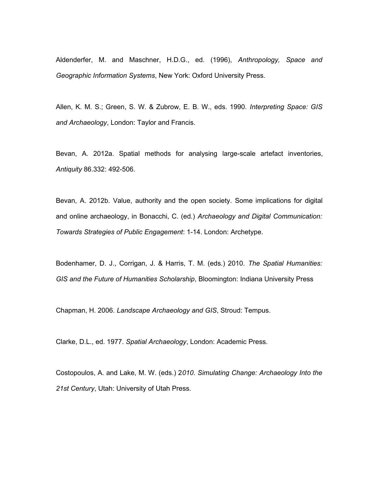Aldenderfer, M. and Maschner, H.D.G., ed. (1996), *Anthropology, Space and Geographic Information Systems*, New York: Oxford University Press.

Allen, K. M. S.; Green, S. W. & Zubrow, E. B. W., eds. 1990. *Interpreting Space: GIS and Archaeology*, London: Taylor and Francis.

Bevan, A. 2012a. Spatial methods for analysing large-scale artefact inventories, *Antiquity* 86.332: 492-506.

Bevan, A. 2012b. Value, authority and the open society. Some implications for digital and online archaeology, in Bonacchi, C. (ed.) *Archaeology and Digital Communication: Towards Strategies of Public Engagement*: 1-14. London: Archetype.

Bodenhamer, D. J., Corrigan, J. & Harris, T. M. (eds.) 2010. *The Spatial Humanities: GIS and the Future of Humanities Scholarship*, Bloomington: Indiana University Press

Chapman, H. 2006. *Landscape Archaeology and GIS*, Stroud: Tempus.

Clarke, D.L., ed. 1977. *Spatial Archaeology*, London: Academic Press.

Costopoulos, A. and Lake, M. W. (eds.) 2*010. Simulating Change: Archaeology Into the 21st Century*, Utah: University of Utah Press.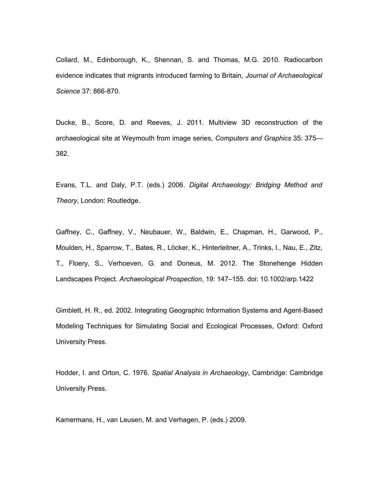Collard, M., Edinborough, K., Shennan, S. and Thomas, M.G. 2010. Radiocarbon evidence indicates that migrants introduced farming to Britain, *Journal of Archaeological Science* 37: 866-870.

Ducke, B., Score, D. and Reeves, J. 2011. Multiview 3D reconstruction of the archaeological site at Weymouth from image series, *Computers and Graphics* 35: 375— 382.

Evans, T.L. and Daly, P.T. (eds.) 2006. *Digital Archaeology: Bridging Method and Theory*, London: Routledge.

Gaffney, C., Gaffney, V., Neubauer, W., Baldwin, E., Chapman, H., Garwood, P., Moulden, H., Sparrow, T., Bates, R., Löcker, K., Hinterleitner, A., Trinks, I., Nau, E., Zitz, T., Floery, S., Verhoeven, G. and Doneus, M. 2012. The Stonehenge Hidden Landscapes Project. *Archaeological Prospection*, 19: 147–155. doi: 10.1002/arp.1422

Gimblett, H. R., ed. 2002. Integrating Geographic Information Systems and Agent-Based Modeling Techniques for Simulating Social and Ecological Processes, Oxford: Oxford University Press.

Hodder, I. and Orton, C. 1976. *Spatial Analysis in Archaeology*, Cambridge: Cambridge University Press.

Kamermans, H., van Leusen, M. and Verhagen, P. (eds.) 2009.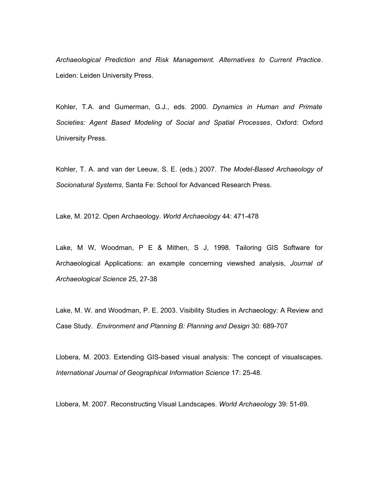*Archaeological Prediction and Risk Management. Alternatives to Current Practice*. Leiden: Leiden University Press.

Kohler, T.A. and Gumerman, G.J., eds. 2000. *Dynamics in Human and Primate Societies: Agent Based Modeling of Social and Spatial Processes*, Oxford: Oxford University Press.

Kohler, T. A. and van der Leeuw, S. E. (eds.) 2007. *The Model-Based Archaeology of Socionatural Systems*, Santa Fe: School for Advanced Research Press.

Lake, M. 2012. Open Archaeology. *World Archaeology* 44: 471-478

Lake, M W, Woodman, P E & Mithen, S J, 1998. Tailoring GIS Software for Archaeological Applications: an example concerning viewshed analysis, *Journal of Archaeological Science* 25, 27-38

Lake, M. W. and Woodman, P. E. 2003. Visibility Studies in Archaeology: A Review and Case Study. *Environment and Planning B: Planning and Design* 30: 689-707

Llobera, M. 2003. Extending GIS-based visual analysis: The concept of visualscapes. *International Journal of Geographical Information Science* 17: 25-48.

Llobera, M. 2007. Reconstructing Visual Landscapes. *World Archaeology* 39: 51-69.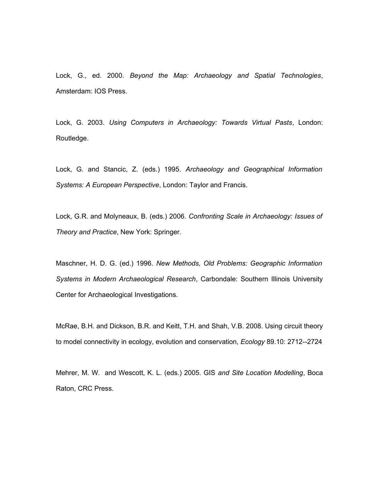Lock, G., ed. 2000. *Beyond the Map: Archaeology and Spatial Technologies*, Amsterdam: IOS Press.

Lock, G. 2003. *Using Computers in Archaeology: Towards Virtual Pasts*, London: Routledge.

Lock, G. and Stancic, Z. (eds.) 1995. *Archaeology and Geographical Information Systems: A European Perspective*, London: Taylor and Francis.

Lock, G.R. and Molyneaux, B. (eds.) 2006. *Confronting Scale in Archaeology: Issues of Theory and Practice*, New York: Springer.

Maschner, H. D. G. (ed.) 1996. *New Methods, Old Problems: Geographic Information Systems in Modern Archaeological Research*, Carbondale: Southern Illinois University Center for Archaeological Investigations.

McRae, B.H. and Dickson, B.R. and Keitt, T.H. and Shah, V.B. 2008. Using circuit theory to model connectivity in ecology, evolution and conservation, *Ecology* 89.10: 2712--2724

Mehrer, M. W. and Wescott, K. L. (eds.) 2005. GIS *and Site Location Modelling*, Boca Raton, CRC Press.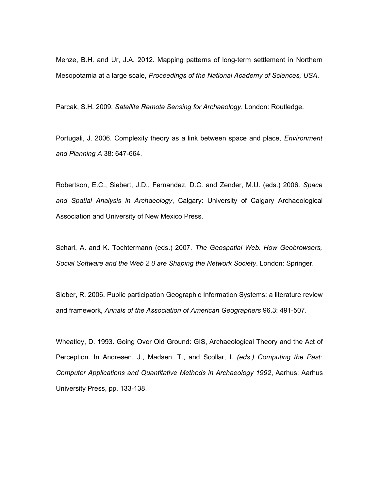Menze, B.H. and Ur, J.A. 2012. Mapping patterns of long-term settlement in Northern Mesopotamia at a large scale, *Proceedings of the National Academy of Sciences, USA*.

Parcak, S.H. 2009. *Satellite Remote Sensing for Archaeology*, London: Routledge.

Portugali, J. 2006. Complexity theory as a link between space and place, *Environment and Planning A* 38: 647-664.

Robertson, E.C., Siebert, J.D., Fernandez, D.C. and Zender, M.U. (eds.) 2006. *Space and Spatial Analysis in Archaeology*, Calgary: University of Calgary Archaeological Association and University of New Mexico Press.

Scharl, A. and K. Tochtermann (eds.) 2007. *The Geospatial Web. How Geobrowsers, Social Software and the Web 2.0 are Shaping the Network Society*. London: Springer.

Sieber, R. 2006. Public participation Geographic Information Systems: a literature review and framework, *Annals of the Association of American Geographers* 96.3: 491-507.

Wheatley, D. 1993. Going Over Old Ground: GIS, Archaeological Theory and the Act of Perception. In Andresen, J., Madsen, T., and Scollar, I*. (eds.) Computing the Past: Computer Applications and Quantitative Methods in Archaeology 1992*, Aarhus: Aarhus University Press, pp. 133-138.